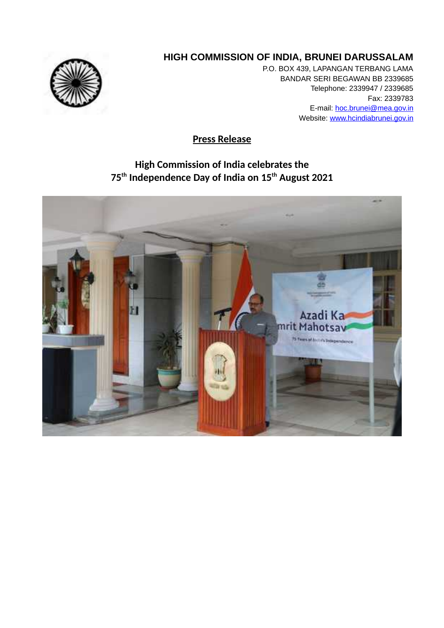

## **HIGH COMMISSION OF INDIA, BRUNEI DARUSSALAM**

P.O. BOX 439, LAPANGAN TERBANG LAMA BANDAR SERI BEGAWAN BB 2339685 Telephone: 2339947 / 2339685 Fax: 2339783 E-mail: hoc.brunei@mea.gov.in Website: www.hcindiabrunei.gov.in

**Press Release**

## **High Commission of India celebrates the 75th Independence Day of India on 15th August 2021**

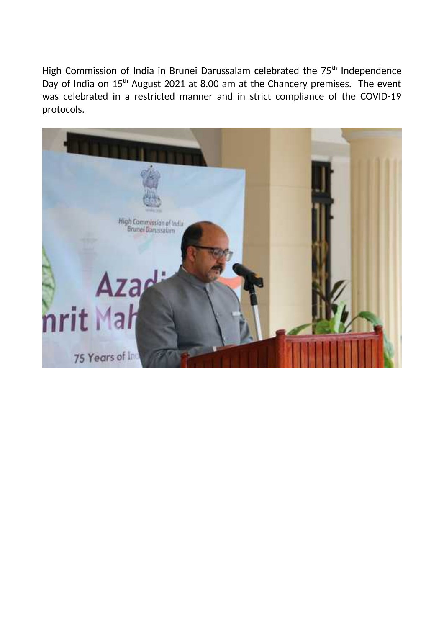High Commission of India in Brunei Darussalam celebrated the 75<sup>th</sup> Independence Day of India on 15<sup>th</sup> August 2021 at 8.00 am at the Chancery premises. The event was celebrated in a restricted manner and in strict compliance of the COVID-19 protocols.

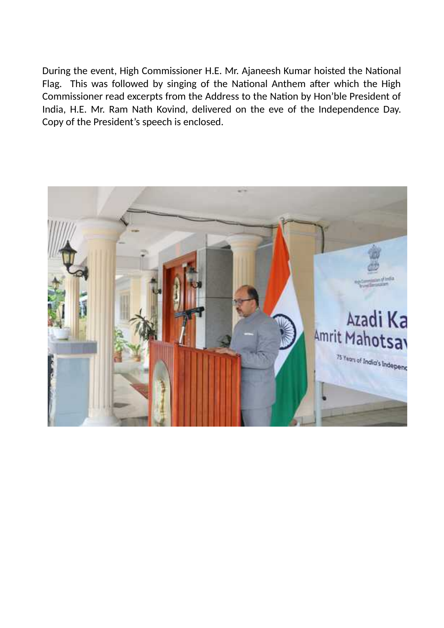During the event, High Commissioner H.E. Mr. Ajaneesh Kumar hoisted the National Flag. This was followed by singing of the National Anthem after which the High Commissioner read excerpts from the Address to the Nation by Hon'ble President of India, H.E. Mr. Ram Nath Kovind, delivered on the eve of the Independence Day. Copy of the President's speech is enclosed.

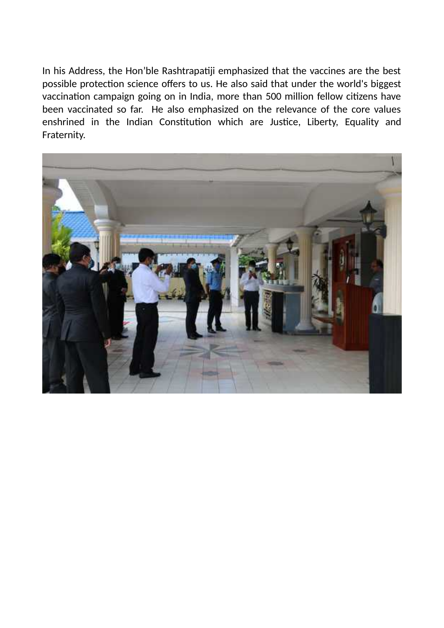In his Address, the Hon'ble Rashtrapatiji emphasized that the vaccines are the best possible protection science offers to us. He also said that under the world's biggest vaccination campaign going on in India, more than 500 million fellow citizens have been vaccinated so far. He also emphasized on the relevance of the core values enshrined in the Indian Constitution which are Justice, Liberty, Equality and Fraternity.